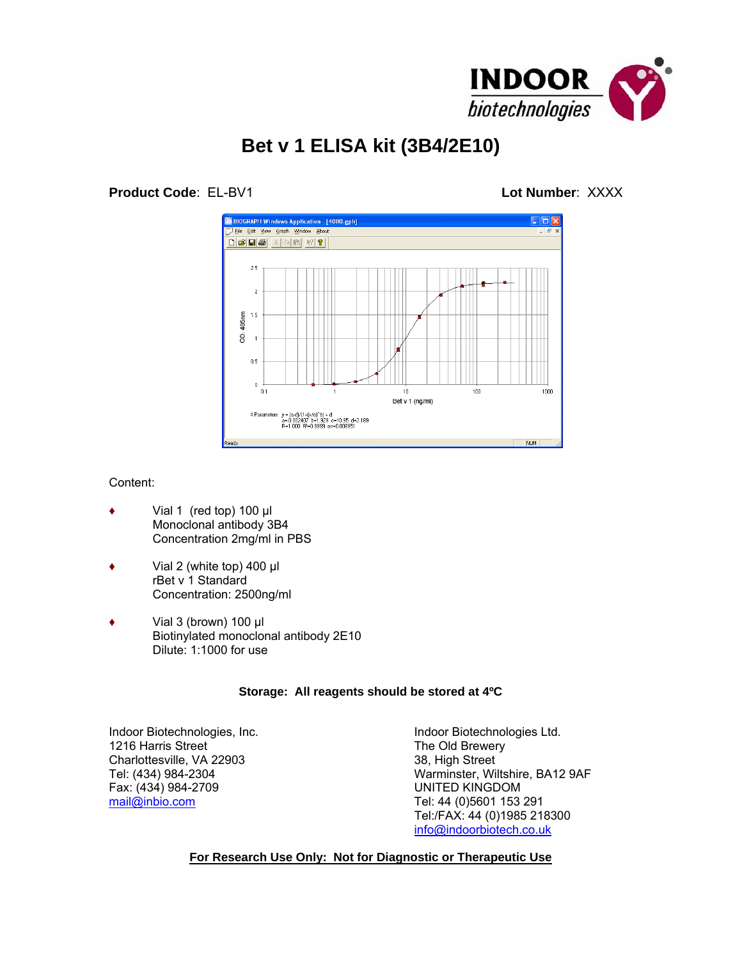

# **Bet v 1 ELISA kit (3B4/2E10)**

## **Product Code**: EL-BV1 **Lot Number**: XXXX



#### Content:

- Vial 1 (red top)  $100 \mu$ Monoclonal antibody 3B4 Concentration 2mg/ml in PBS
- ♦ Vial 2 (white top) 400 µl rBet v 1 Standard Concentration: 2500ng/ml
- $\bullet$  Vial 3 (brown) 100 µl Biotinylated monoclonal antibody 2E10 Dilute: 1:1000 for use

#### **Storage: All reagents should be stored at 4ºC**

Indoor Biotechnologies, Inc. South American Structure Christian Indoor Biotechnologies Ltd.<br>Interval of the Old Brewery Charlottesville, VA 22903<br>
Tel: (434) 984-2304<br>
Varminster, Wi Fax: (434) 984-2709 [mail@inbio.com](mailto:mail@inbio.com) Tel: 44 (0)5601 153 291

The Old Brewery Warminster, Wiltshire, BA12 9AF<br>UNITED KINGDOM Tel:/FAX: 44 (0)1985 218300 [info@indoorbiotech.co.uk](mailto:info@indoorbiotech.co.uk)

### **For Research Use Only: Not for Diagnostic or Therapeutic Use**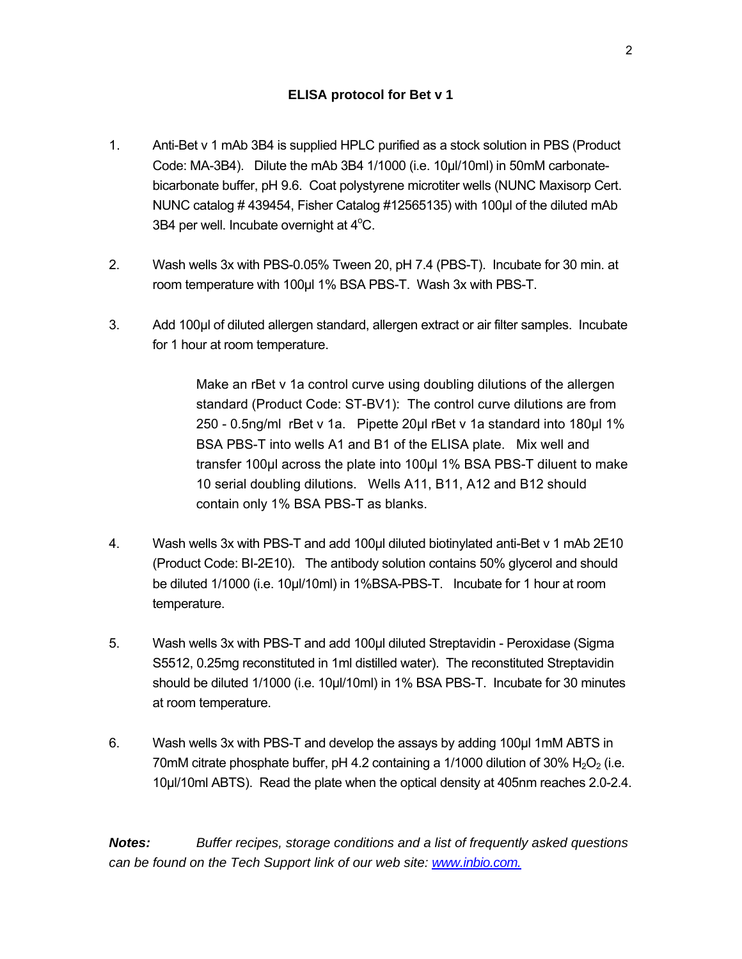- 1. Anti-Bet v 1 mAb 3B4 is supplied HPLC purified as a stock solution in PBS (Product Code: MA-3B4). Dilute the mAb 3B4 1/1000 (i.e. 10µl/10ml) in 50mM carbonatebicarbonate buffer, pH 9.6. Coat polystyrene microtiter wells (NUNC Maxisorp Cert. NUNC catalog # 439454, Fisher Catalog #12565135) with 100µl of the diluted mAb 3B4 per well. Incubate overnight at 4°C.
- 2. Wash wells 3x with PBS-0.05% Tween 20, pH 7.4 (PBS-T). Incubate for 30 min. at room temperature with 100µl 1% BSA PBS-T. Wash 3x with PBS-T.
- 3. Add 100µl of diluted allergen standard, allergen extract or air filter samples. Incubate for 1 hour at room temperature.

 Make an rBet v 1a control curve using doubling dilutions of the allergen standard (Product Code: ST-BV1): The control curve dilutions are from 250 - 0.5ng/ml rBet v 1a. Pipette 20ul rBet v 1a standard into 180ul 1% BSA PBS-T into wells A1 and B1 of the ELISA plate. Mix well and transfer 100µl across the plate into 100µl 1% BSA PBS-T diluent to make 10 serial doubling dilutions. Wells A11, B11, A12 and B12 should contain only 1% BSA PBS-T as blanks.

- 4. Wash wells 3x with PBS-T and add 100µl diluted biotinylated anti-Bet v 1 mAb 2E10 (Product Code: BI-2E10). The antibody solution contains 50% glycerol and should be diluted 1/1000 (i.e. 10µl/10ml) in 1%BSA-PBS-T. Incubate for 1 hour at room temperature.
- 5. Wash wells 3x with PBS-T and add 100µl diluted Streptavidin Peroxidase (Sigma S5512, 0.25mg reconstituted in 1ml distilled water). The reconstituted Streptavidin should be diluted 1/1000 (i.e. 10µl/10ml) in 1% BSA PBS-T. Incubate for 30 minutes at room temperature.
- 6. Wash wells 3x with PBS-T and develop the assays by adding 100µl 1mM ABTS in 70mM citrate phosphate buffer, pH 4.2 containing a 1/1000 dilution of 30%  $H_2O_2$  (i.e. 10µl/10ml ABTS). Read the plate when the optical density at 405nm reaches 2.0-2.4.

*Notes: Buffer recipes, storage conditions and a list of frequently asked questions can be found on the Tech Support link of our web site: [www.inbio.com.](http://www.inbio.com/)*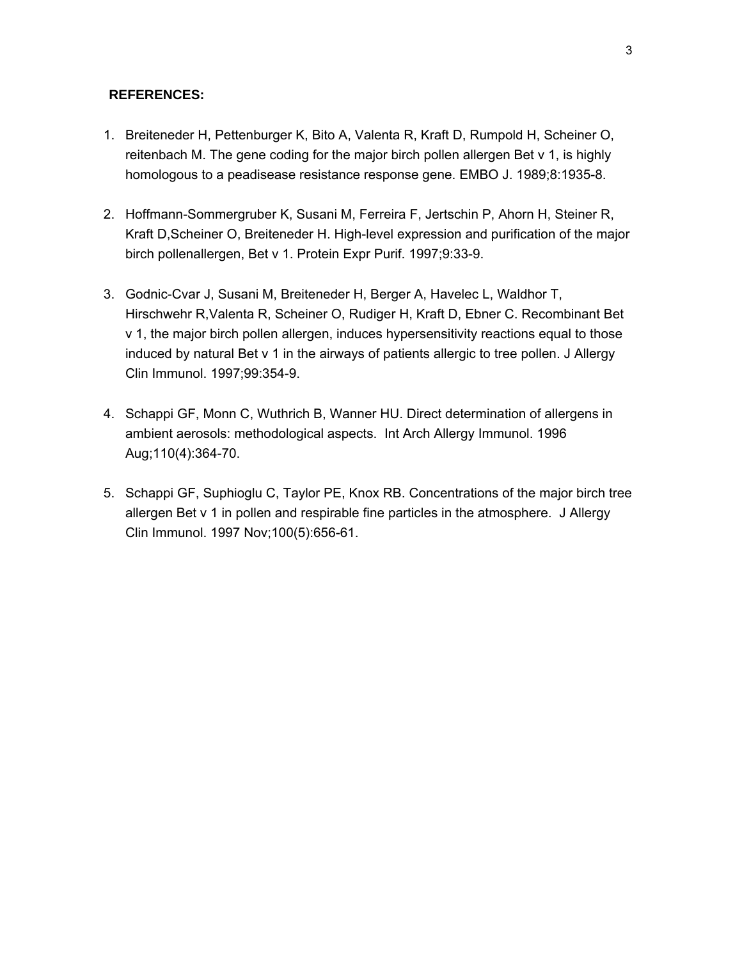#### **REFERENCES:**

- 1. Breiteneder H, Pettenburger K, Bito A, Valenta R, Kraft D, Rumpold H, Scheiner O, reitenbach M. The gene coding for the major birch pollen allergen Bet v 1, is highly homologous to a peadisease resistance response gene. EMBO J. 1989;8:1935-8.
- 2. Hoffmann-Sommergruber K, Susani M, Ferreira F, Jertschin P, Ahorn H, Steiner R, Kraft D,Scheiner O, Breiteneder H. High-level expression and purification of the major birch pollenallergen, Bet v 1. Protein Expr Purif. 1997;9:33-9.
- 3. Godnic-Cvar J, Susani M, Breiteneder H, Berger A, Havelec L, Waldhor T, Hirschwehr R,Valenta R, Scheiner O, Rudiger H, Kraft D, Ebner C. Recombinant Bet v 1, the major birch pollen allergen, induces hypersensitivity reactions equal to those induced by natural Bet v 1 in the airways of patients allergic to tree pollen. J Allergy Clin Immunol. 1997;99:354-9.
- 4. Schappi GF, Monn C, Wuthrich B, Wanner HU. Direct determination of allergens in ambient aerosols: methodological aspects. Int Arch Allergy Immunol. 1996 Aug;110(4):364-70.
- 5. Schappi GF, Suphioglu C, Taylor PE, Knox RB. Concentrations of the major birch tree allergen Bet v 1 in pollen and respirable fine particles in the atmosphere. J Allergy Clin Immunol. 1997 Nov;100(5):656-61.